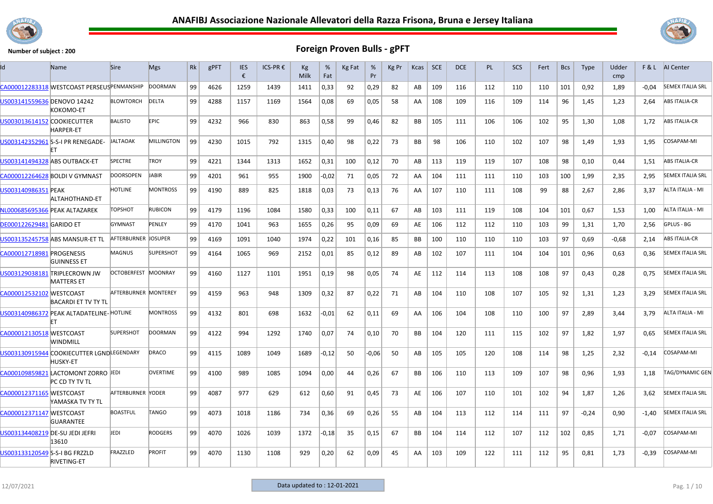



| Id                              | Name                                                         | <b>Sire</b>          | <b>Mgs</b>        | Rk | gPFT | <b>IES</b><br>€ | ICS-PR € | Kg<br>Milk | %<br>Fat | Kg Fat | %<br>Pr | Kg Pr | Kcas      | <b>SCE</b> | <b>DCE</b> | PL  | <b>SCS</b> | Fert | <b>Bcs</b> | <b>Type</b> | Udder<br>cmp |         | F & L AI Center         |
|---------------------------------|--------------------------------------------------------------|----------------------|-------------------|----|------|-----------------|----------|------------|----------|--------|---------|-------|-----------|------------|------------|-----|------------|------|------------|-------------|--------------|---------|-------------------------|
|                                 | CA000012283318 WESTCOAST PERSEUSPENMANSHIP                   |                      | <b>DOORMAN</b>    | 99 | 4626 | 1259            | 1439     | 1411       | 0,33     | 92     | 0,29    | 82    | AB        | 109        | 116        | 112 | 110        | 110  | 101        | 0,92        | 1,89         | $-0.04$ | <b>SEMEX ITALIA SRL</b> |
| US003141559636 DENOVO 14242     | KOKOMO-ET                                                    | <b>BLOWTORCH</b>     | <b>DELTA</b>      | 99 | 4288 | 1157            | 1169     | 1564       | 0,08     | 69     | 0,05    | 58    | AA        | 108        | 109        | 116 | 109        | 114  | 96         | 1,45        | 1,23         | 2,64    | ABS ITALIA-CR           |
| US003013614152 COOKIECUTTER     | <b>HARPER-ET</b>                                             | <b>BALISTO</b>       | <b>EPIC</b>       | 99 | 4232 | 966             | 830      | 863        | 0,58     | 99     | 0,46    | 82    | ВB        | 105        | 111        | 106 | 106        | 102  | 95         | 1,30        | 1,08         | 1,72    | <b>ABS ITALIA-CR</b>    |
|                                 | US003142352961 S-S-I PR RENEGADE-                            | <b>JALTAOAK</b>      | <b>MILLINGTON</b> | 99 | 4230 | 1015            | 792      | 1315       | 0,40     | 98     | 0,22    | 73    | BB        | 98         | 106        | 110 | 102        | 107  | 98         | 1,49        | 1,93         | 1,95    | COSAPAM-MI              |
|                                 | US003141494328 ABS OUTBACK-ET                                | <b>SPECTRE</b>       | <b>TROY</b>       | 99 | 4221 | 1344            | 1313     | 1652       | 0,31     | 100    | 0,12    | 70    | AB        | 113        | 119        | 119 | 107        | 108  | 98         | 0,10        | 0.44         | 1.51    | <b>ABS ITALIA-CR</b>    |
|                                 | CA000012264628 BOLDI V GYMNAST                               | <b>DOORSOPEN</b>     | <b>JABIR</b>      | 99 | 4201 | 961             | 955      | 1900       | $-0,02$  | 71     | 0.05    | 72    | AA        | 104        | 111        | 111 | 110        | 103  | 100        | 1,99        | 2,35         | 2.95    | <b>SEMEX ITALIA SRL</b> |
| US003140986351 PEAK             | ALTAHOTHAND-ET                                               | HOTLINE              | <b>MONTROSS</b>   | 99 | 4190 | 889             | 825      | 1818       | 0,03     | 73     | 0,13    | 76    | AA        | 107        | 110        | 111 | 108        | 99   | 88         | 2,67        | 2,86         | 3,37    | ALTA ITALIA - MI        |
|                                 | NL000685695366 PEAK ALTAZAREK                                | TOPSHOT              | <b>RUBICON</b>    | 99 | 4179 | 1196            | 1084     | 1580       | 0,33     | 100    | 0.11    | 67    | AB        | 103        | 111        | 119 | 108        | 104  | 101        | 0.67        | 1,53         | 1.00    | ALTA ITALIA - MI        |
| <b>DE000122629481 GARIDO ET</b> |                                                              | <b>GYMNAST</b>       | PENLEY            | 99 | 4170 | 1041            | 963      | 1655       | 0,26     | 95     | 0,09    | 69    | AE        | 106        | 112        | 112 | 110        | 103  | 99         | 1,31        | 1,70         | 2,56    | GPLUS - BG              |
|                                 | US003135245758 ABS MANSUR-ET TL                              | AFTERBURNER DOSUPER  |                   | 99 | 4169 | 1091            | 1040     | 1974       | 0,22     | 101    | 0,16    | 85    | BB        | 100        | 110        | 110 | 110        | 103  | 97         | 0.69        | $-0.68$      | 2.14    | <b>ABS ITALIA-CR</b>    |
| CA000012718981 PROGENESIS       | <b>GUINNESS ET</b>                                           | <b>MAGNUS</b>        | <b>SUPERSHOT</b>  | 99 | 4164 | 1065            | 969      | 2152       | 0,01     | 85     | 0,12    | 89    | AB        | 102        | 107        | 111 | 104        | 104  | 101        | 0,96        | 0,63         | 0,36    | <b>SEMEX ITALIA SRL</b> |
|                                 | US003129038181 TRIPLECROWN JW<br><b>MATTERS ET</b>           | OCTOBERFEST MOONRAY  |                   | 99 | 4160 | 1127            | 1101     | 1951       | 0,19     | 98     | 0,05    | 74    | AE        | 112        | 114        | 113 | 108        | 108  | 97         | 0,43        | 0,28         | 0,75    | <b>SEMEX ITALIA SRL</b> |
| CA000012532102 WESTCOAST        | <b>BACARDI ET TV TY TL</b>                                   | AFTERBURNER MONTEREY |                   | 99 | 4159 | 963             | 948      | 1309       | 0,32     | 87     | 0,22    | 71    | AB        | 104        | 110        | 108 | 107        | 105  | 92         | 1,31        | 1,23         | 3,29    | <b>SEMEX ITALIA SRL</b> |
|                                 | US003140986372 PEAK ALTADATELINE-HOTLINE<br>FT               |                      | <b>MONTROSS</b>   | 99 | 4132 | 801             | 698      | 1632       | $-0,01$  | 62     | 0,11    | 69    | AA        | 106        | 104        | 108 | 110        | 100  | 97         | 2,89        | 3,44         | 3.79    | ALTA ITALIA - MI        |
| CA000012130518 WESTCOAST        | WINDMILL                                                     | <b>SUPERSHOT</b>     | <b>DOORMAN</b>    | 99 | 4122 | 994             | 1292     | 1740       | 0,07     | 74     | 0,10    | 70    | <b>BB</b> | 104        | 120        | 111 | 115        | 102  | 97         | 1,82        | 1,97         | 0,65    | <b>SEMEX ITALIA SRL</b> |
|                                 | US003130915944 COOKIECUTTER LGNDLEGENDARY<br><b>HUSKY-ET</b> |                      | DRACO             | 99 | 4115 | 1089            | 1049     | 1689       | $-0,12$  | 50     | $-0.06$ | 50    | AB        | 105        | 105        | 120 | 108        | 114  | 98         | 1,25        | 2,32         | $-0,14$ | COSAPAM-MI              |
|                                 | CA000109859821 LACTOMONT ZORRO JEDI<br>PC CD TY TV TL        |                      | <b>OVERTIME</b>   | 99 | 4100 | 989             | 1085     | 1094       | 0,00     | 44     | 0,26    | 67    | BB        | 106        | 110        | 113 | 109        | 107  | 98         | 0,96        | 1,93         | 1,18    | TAG/DYNAMIC GEN         |
| CA000012371165 MESTCOAST        | YAMASKA TV TY TL                                             | AFTERBURNER  YODER   |                   | 99 | 4087 | 977             | 629      | 612        | 0,60     | 91     | 0,45    | 73    | AE        | 106        | 107        | 110 | 101        | 102  | 94         | 1,87        | 1,26         | 3,62    | <b>SEMEX ITALIA SRL</b> |
| CA000012371147 WESTCOAST        | <b>GUARANTEE</b>                                             | <b>BOASTFUL</b>      | <b>TANGO</b>      | 99 | 4073 | 1018            | 1186     | 734        | 0,36     | 69     | 0,26    | 55    | AB        | 104        | 113        | 112 | 114        | 111  | 97         | $-0,24$     | 0,90         | -1,40   | <b>SEMEX ITALIA SRL</b> |
| US003134408219 DE-SU JEDI JEFRI | 13610                                                        | JEDI                 | <b>RODGERS</b>    | 99 | 4070 | 1026            | 1039     | 1372       | $-0,18$  | 35     | 0,15    | 67    | BB        | 104        | 114        | 112 | 107        | 112  | 102        | 0,85        | 1,71         | $-0,07$ | COSAPAM-MI              |
| US003133120549 S-S-I BG FRZZLD  | RIVETING-ET                                                  | FRAZZLED             | <b>PROFIT</b>     | 99 | 4070 | 1130            | 1108     | 929        | 0,20     | 62     | 0,09    | 45    | AA        | 103        | 109        | 122 | 111        | 112  | 95         | 0,81        | 1,73         | $-0,39$ | COSAPAM-MI              |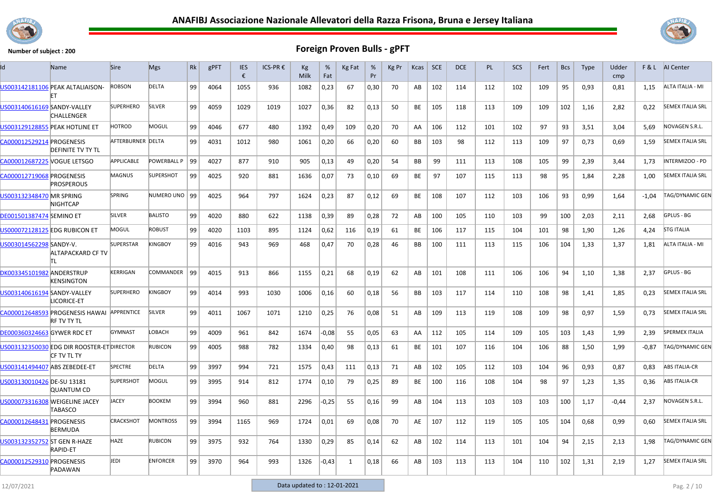



| Id                                 | Name                                                       | <b>Sire</b>       | <b>Mgs</b>       | Rk | gPFT | <b>IES</b><br>€ | ICS-PR € | Kg<br>Milk | %<br>Fat | Kg Fat       | %<br>Pr | Kg Pr | Kcas      | <b>SCE</b> | DCE | <b>PL</b> | <b>SCS</b> | Fert | <b>Bcs</b> | <b>Type</b> | Udder<br>cmp |         | <b>F&amp;L</b> AI Center |
|------------------------------------|------------------------------------------------------------|-------------------|------------------|----|------|-----------------|----------|------------|----------|--------------|---------|-------|-----------|------------|-----|-----------|------------|------|------------|-------------|--------------|---------|--------------------------|
|                                    | US003142181106 PEAK ALTALIAISON-                           | <b>ROBSON</b>     | <b>DELTA</b>     | 99 | 4064 | 1055            | 936      | 1082       | 0,23     | 67           | 0,30    | 70    | AB        | 102        | 114 | 112       | 102        | 109  | 95         | 0,93        | 0,81         | 1.15    | ALTA ITALIA - MI         |
| US003140616169 SANDY-VALLEY        | CHALLENGER                                                 | <b>SUPERHERO</b>  | SILVER           | 99 | 4059 | 1029            | 1019     | 1027       | 0,36     | 82           | 0,13    | 50    | BE        | 105        | 118 | 113       | 109        | 109  | 102        | 1,16        | 2,82         | 0,22    | <b>SEMEX ITALIA SRL</b>  |
|                                    | <b>US003129128855 PEAK HOTLINE ET</b>                      | <b>HOTROD</b>     | MOGUL            | 99 | 4046 | 677             | 480      | 1392       | 0,49     | 109          | 0,20    | 70    | AA        | 106        | 112 | 101       | 102        | 97   | 93         | 3,51        | 3.04         | 5,69    | NOVAGEN S.R.L.           |
| CA000012529214 PROGENESIS          | <b>DEFINITE TV TY TL</b>                                   | AFTERBURNER DELTA |                  | 99 | 4031 | 1012            | 980      | 1061       | 0,20     | 66           | 0,20    | 60    | BB        | 103        | 98  | 112       | 113        | 109  | 97         | 0,73        | 0,69         | 1,59    | <b>SEMEX ITALIA SRL</b>  |
| CA000012687225 VOGUE LETSGO        |                                                            | APPLICABLE        | POWERBALL P      | 99 | 4027 | 877             | 910      | 905        | 0,13     | 49           | 0,20    | 54    | <b>BB</b> | 99         | 111 | 113       | 108        | 105  | 99         | 2,39        | 3,44         | 1.73    | INTERMIZOO - PD          |
| CA000012719068 PROGENESIS          | <b>PROSPEROUS</b>                                          | <b>MAGNUS</b>     | <b>SUPERSHOT</b> | 99 | 4025 | 920             | 881      | 1636       | 0,07     | 73           | 0,10    | 69    | <b>BE</b> | 97         | 107 | 115       | 113        | 98   | 95         | 1,84        | 2,28         | 1,00    | <b>SEMEX ITALIA SRL</b>  |
| US003132348470 MR SPRING           | <b>NIGHTCAP</b>                                            | <b>SPRING</b>     | NUMERO UNO 99    |    | 4025 | 964             | 797      | 1624       | 0,23     | 87           | 0,12    | 69    | BE        | 108        | 107 | 112       | 103        | 106  | 93         | 0,99        | 1,64         | $-1,04$ | TAG/DYNAMIC GEN          |
| <b>DE001501387474 SEMINO ET</b>    |                                                            | <b>SILVER</b>     | <b>BALISTO</b>   | 99 | 4020 | 880             | 622      | 1138       | 0,39     | 89           | 0,28    | 72    | AB        | 100        | 105 | 110       | 103        | 99   | 100        | 2,03        | 2,11         | 2,68    | GPLUS - BG               |
|                                    | US000072128125 EDG RUBICON ET                              | MOGUL             | <b>ROBUST</b>    | 99 | 4020 | 1103            | 895      | 1124       | 0,62     | 116          | 0,19    | 61    | BE        | 106        | 117 | 115       | 104        | 101  | 98         | 1,90        | 1,26         | 4,24    | <b>STG ITALIA</b>        |
| US003014562298 SANDY-V.            | <b>ALTAPACKARD CF TV</b><br>ΙTL                            | <b>SUPERSTAR</b>  | <b>KINGBOY</b>   | 99 | 4016 | 943             | 969      | 468        | 0,47     | 70           | 0,28    | 46    | BB        | 100        | 111 | 113       | 115        | 106  | 104        | 1,33        | 1,37         | 1,81    | ALTA ITALIA - MI         |
| DK003345101982 ANDERSTRUP          | KENSINGTON                                                 | <b>KERRIGAN</b>   | COMMANDER 99     |    | 4015 | 913             | 866      | 1155       | 0,21     | 68           | 0.19    | 62    | AB        | 101        | 108 | 111       | 106        | 106  | 94         | 1,10        | 1,38         | 2.37    | GPLUS - BG               |
| US003140616194 SANDY-VALLEY        | LICORICE-ET                                                | <b>SUPERHERO</b>  | <b>KINGBOY</b>   | 99 | 4014 | 993             | 1030     | 1006       | 0,16     | 60           | 0,18    | 56    | BB        | 103        | 117 | 114       | 110        | 108  | 98         | 1,41        | 1,85         | 0,23    | <b>SEMEX ITALIA SRL</b>  |
|                                    | CA000012648593 PROGENESIS HAWAI<br><b>RF TV TY TL</b>      | <b>APPRENTICE</b> | SILVER           | 99 | 4011 | 1067            | 1071     | 1210       | 0,25     | 76           | 0.08    | 51    | AB        | 109        | 113 | 119       | 108        | 109  | 98         | 0,97        | 1,59         | 0.73    | <b>SEMEX ITALIA SRL</b>  |
| <b>DE000360324663 GYWER RDC ET</b> |                                                            | <b>GYMNAST</b>    | LOBACH           | 99 | 4009 | 961             | 842      | 1674       | $-0.08$  | 55           | 0,05    | 63    | AA        | 112        | 105 | 114       | 109        | 105  | 103        | 1,43        | 1,99         | 2,39    | <b>SPERMEX ITALIA</b>    |
|                                    | US003132350030 EDG DIR ROOSTER-ET DIRECTOR<br>ICF TV TL TY |                   | <b>RUBICON</b>   | 99 | 4005 | 988             | 782      | 1334       | 0,40     | 98           | 0,13    | 61    | BE        | 101        | 107 | 116       | 104        | 106  | 88         | 1,50        | 1,99         | $-0,87$ | TAG/DYNAMIC GEN          |
| US003141494407 ABS ZEBEDEE-ET      |                                                            | <b>SPECTRE</b>    | <b>DELTA</b>     | 99 | 3997 | 994             | 721      | 1575       | 0,43     | 111          | 0,13    | 71    | AB        | 102        | 105 | 112       | 103        | 104  | 96         | 0,93        | 0.87         | 0.83    | <b>ABS ITALIA-CR</b>     |
| US003130010426 DE-SU 13181         | <b>QUANTUM CD</b>                                          | <b>SUPERSHOT</b>  | MOGUL            | 99 | 3995 | 914             | 812      | 1774       | 0,10     | 79           | 0,25    | 89    | BE        | 100        | 116 | 108       | 104        | 98   | 97         | 1,23        | 1,35         | 0,36    | <b>ABS ITALIA-CR</b>     |
|                                    | US000073316308 WEIGELINE JACEY<br>TABASCO                  | <b>JACEY</b>      | <b>BOOKEM</b>    | 99 | 3994 | 960             | 881      | 2296       | -0,25    | 55           | 0,16    | 99    | AB        | 104        | 113 | 103       | 103        | 103  | 100        | 1,17        | $-0,44$      | 2,37    | NOVAGEN S.R.L.           |
| CA000012648431 PROGENESIS          | <b>BERMUDA</b>                                             | <b>CRACKSHOT</b>  | <b>MONTROSS</b>  | 99 | 3994 | 1165            | 969      | 1724       | 0,01     | 69           | 0.08    | 70    | AE        | 107        | 112 | 119       | 105        | 105  | 104        | 0,68        | 0,99         | 0,60    | <b>SEMEX ITALIA SRL</b>  |
| US003132352752 ST GEN R-HAZE       | <b>RAPID-ET</b>                                            | HAZE              | <b>RUBICON</b>   | 99 | 3975 | 932             | 764      | 1330       | 0,29     | 85           | 0,14    | 62    | AB        | 102        | 114 | 113       | 101        | 104  | 94         | 2,15        | 2,13         | 1,98    | TAG/DYNAMIC GEN          |
| CA000012529310 PROGENESIS          | PADAWAN                                                    | JEDI              | <b>ENFORCER</b>  | 99 | 3970 | 964             | 993      | 1326       | $-0.43$  | $\mathbf{1}$ | 0,18    | 66    | AB        | 103        | 113 | 113       | 104        | 110  | 102        | 1,31        | 2,19         | 1,27    | <b>SEMEX ITALIA SRL</b>  |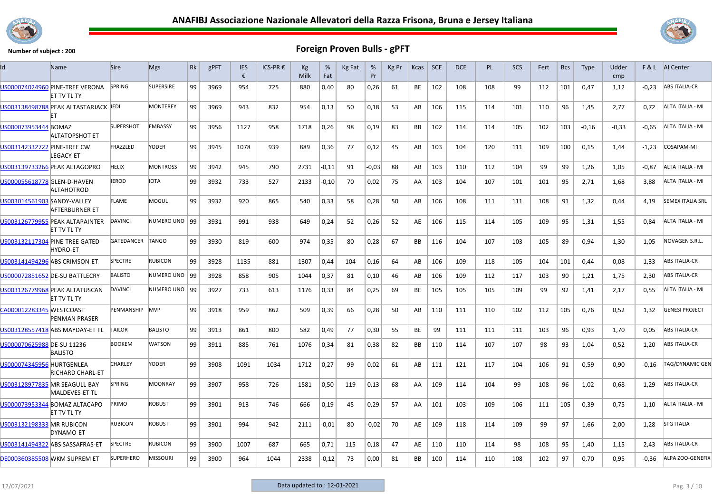



| ld                          | Name                                                  | <b>Sire</b>      | <b>Mgs</b>       | Rk | gPFT | <b>IES</b><br>€ | ICS-PR € | Kg<br>Milk | %<br>Fat | Kg Fat | %<br>Pr | Kg Pr | Kcas      | <b>SCE</b> | <b>DCE</b> | <b>PL</b> | <b>SCS</b> | Fert | <b>Bcs</b> | <b>Type</b> | Udder<br>cmp | F&L     | AI Center               |
|-----------------------------|-------------------------------------------------------|------------------|------------------|----|------|-----------------|----------|------------|----------|--------|---------|-------|-----------|------------|------------|-----------|------------|------|------------|-------------|--------------|---------|-------------------------|
|                             | US000074024960 PINE-TREE VERONA<br>ET TV TL TY        | <b>SPRING</b>    | <b>SUPERSIRE</b> | 99 | 3969 | 954             | 725      | 880        | 0,40     | 80     | 0,26    | 61    | BE        | 102        | 108        | 108       | 99         | 112  | 101        | 0,47        | 1,12         | $-0,23$ | <b>ABS ITALIA-CR</b>    |
|                             | US003138498788 PEAK ALTASTARJACK JEDI                 |                  | <b>MONTEREY</b>  | 99 | 3969 | 943             | 832      | 954        | 0,13     | 50     | 0,18    | 53    | AB        | 106        | 115        | 114       | 101        | 110  | 96         | 1,45        | 2,77         | 0,72    | ALTA ITALIA - MI        |
| US000073953444 BOMAZ        | <b>ALTATOPSHOT ET</b>                                 | <b>SUPERSHOT</b> | <b>EMBASSY</b>   | 99 | 3956 | 1127            | 958      | 1718       | 0,26     | 98     | 0,19    | 83    | <b>BB</b> | 102        | 114        | 114       | 105        | 102  | 103        | $-0,16$     | $-0,33$      | $-0.65$ | ALTA ITALIA - MI        |
| US003142332722 PINE-TREE CW | LEGACY-ET                                             | FRAZZLED         | YODER            | 99 | 3945 | 1078            | 939      | 889        | 0,36     | 77     | 0,12    | 45    | AB        | 103        | 104        | 120       | 111        | 109  | 100        | 0,15        | 1,44         | $-1,23$ | COSAPAM-MI              |
|                             | US003139733266 PEAK ALTAGOPRO                         | HELIX            | <b>MONTROSS</b>  | 99 | 3942 | 945             | 790      | 2731       | $-0,11$  | 91     | $-0.03$ | 88    | AB        | 103        | 110        | 112       | 104        | 99   | 99         | 1,26        | 1,05         | $-0,87$ | ALTA ITALIA - MI        |
| US000055618778 GLEN-D-HAVEN | ALTAHOTROD                                            | JEROD            | <b>IOTA</b>      | 99 | 3932 | 733             | 527      | 2133       | -0,10    | 70     | 0,02    | 75    | AA        | 103        | 104        | 107       | 101        | 101  | 95         | 2,71        | 1,68         | 3,88    | ALTA ITALIA - MI        |
| US003014561903 SANDY-VALLEY | AFTERBURNER ET                                        | FLAME            | MOGUL            | 99 | 3932 | 920             | 865      | 540        | 0,33     | 58     | 0,28    | 50    | AB        | 106        | 108        | 111       | 111        | 108  | 91         | 1,32        | 0,44         | 4,19    | <b>SEMEX ITALIA SRL</b> |
|                             | US003126779955 PEAK ALTAPAINTER<br><b>ET TV TL TY</b> | <b>DAVINCI</b>   | NUMERO UNO 99    |    | 3931 | 991             | 938      | 649        | 0,24     | 52     | 0,26    | 52    | AE        | 106        | 115        | 114       | 105        | 109  | 95         | 1,31        | 1,55         | 0.84    | ALTA ITALIA - MI        |
|                             | US003132117304 PINE-TREE GATED<br><b>HYDRO-ET</b>     | GATEDANCER       | TANGO            | 99 | 3930 | 819             | 600      | 974        | 0,35     | 80     | 0,28    | 67    | <b>BB</b> | 116        | 104        | 107       | 103        | 105  | 89         | 0,94        | 1,30         | 1,05    | NOVAGEN S.R.L.          |
|                             | US003141494296 ABS CRIMSON-ET                         | SPECTRE          | <b>RUBICON</b>   | 99 | 3928 | 1135            | 881      | 1307       | 0,44     | 104    | 0,16    | 64    | AB        | 106        | 109        | 118       | 105        | 104  | 101        | 0,44        | 0,08         | 1,33    | <b>ABS ITALIA-CR</b>    |
|                             | US000072851652 DE-SU BATTLECRY                        | <b>BALISTO</b>   | NUMERO UNO   99  |    | 3928 | 858             | 905      | 1044       | 0,37     | 81     | 0,10    | 46    | AB        | 106        | 109        | 112       | 117        | 103  | 90         | 1,21        | 1,75         | 2,30    | <b>ABS ITALIA-CR</b>    |
|                             | US003126779968 PEAK ALTATUSCAN<br><b>ET TV TL TY</b>  | <b>DAVINCI</b>   | NUMERO UNO   99  |    | 3927 | 733             | 613      | 1176       | 0,33     | 84     | 0,25    | 69    | BE        | 105        | 105        | 105       | 109        | 99   | 92         | 1,41        | 2,17         | 0.55    | ALTA ITALIA - MI        |
| CA000012283345 WESTCOAST    | PENMAN PRASER                                         | PENMANSHIP MVP   |                  | 99 | 3918 | 959             | 862      | 509        | 0,39     | 66     | 0,28    | 50    | AB        | 110        | 111        | 110       | 102        | 112  | 105        | 0,76        | 0,52         | 1,32    | <b>GENESI PROJECT</b>   |
|                             | US003128557418 ABS MAYDAY-ET TL                       | TAILOR           | <b>BALISTO</b>   | 99 | 3913 | 861             | 800      | 582        | 0,49     | 77     | 0,30    | 55    | BE        | 99         | 111        | 111       | 111        | 103  | 96         | 0.93        | 1,70         | 0.05    | <b>ABS ITALIA-CR</b>    |
| US000070625988 DE-SU 11236  | <b>BALISTO</b>                                        | <b>BOOKEM</b>    | <b>WATSON</b>    | 99 | 3911 | 885             | 761      | 1076       | 0,34     | 81     | 0,38    | 82    | BB        | 110        | 114        | 107       | 107        | 98   | 93         | 1,04        | 0,52         | 1,20    | <b>ABS ITALIA-CR</b>    |
| US000074345956 HURTGENLEA   | <b>RICHARD CHARL-ET</b>                               | <b>CHARLEY</b>   | YODER            | 99 | 3908 | 1091            | 1034     | 1712       | 0,27     | 99     | 0,02    | 61    | AB        | 111        | 121        | 117       | 104        | 106  | 91         | 0,59        | 0,90         | $-0,16$ | <b>TAG/DYNAMIC GEN</b>  |
|                             | US003128977835 MR SEAGULL-BAY<br>MALDEVES-ET TL       | SPRING           | MOONRAY          | 99 | 3907 | 958             | 726      | 1581       | 0,50     | 119    | 0,13    | 68    | AA        | 109        | 114        | 104       | 99         | 108  | 96         | 1,02        | 0,68         | 1,29    | ABS ITALIA-CR           |
|                             | US000073953344 BOMAZ ALTACAPO<br>ET TV TL TY          | PRIMO            | <b>ROBUST</b>    | 99 | 3901 | 913             | 746      | 666        | 0,19     | 45     | 0,29    | 57    | AA        | 101        | 103        | 109       | 106        | 111  | 105        | 0,39        | 0,75         | 1,10    | ALTA ITALIA - MI        |
| US003132198333 MR RUBICON   | DYNAMO-ET                                             | <b>RUBICON</b>   | <b>ROBUST</b>    | 99 | 3901 | 994             | 942      | 2111       | $-0,01$  | 80     | -0,02   | 70    | AE        | 109        | 118        | 114       | 109        | 99   | 97         | 1,66        | 2,00         | 1,28    | <b>STG ITALIA</b>       |
|                             | US003141494322 ABS SASSAFRAS-ET                       | <b>SPECTRE</b>   | <b>RUBICON</b>   | 99 | 3900 | 1007            | 687      | 665        | 0,71     | 115    | 0,18    | 47    | AE        | 110        | 110        | 114       | 98         | 108  | 95         | 1,40        | 1,15         | 2.43    | <b>ABS ITALIA-CR</b>    |
|                             | DE000360385508 WKM SUPREM ET                          | <b>SUPERHERO</b> | <b>MISSOURI</b>  | 99 | 3900 | 964             | 1044     | 2338       | $-0,12$  | 73     | 0,00    | 81    | BB        | 100        | 114        | 110       | 108        | 102  | 97         | 0,70        | 0,95         | $-0,36$ | ALPA ZOO-GENEFIX        |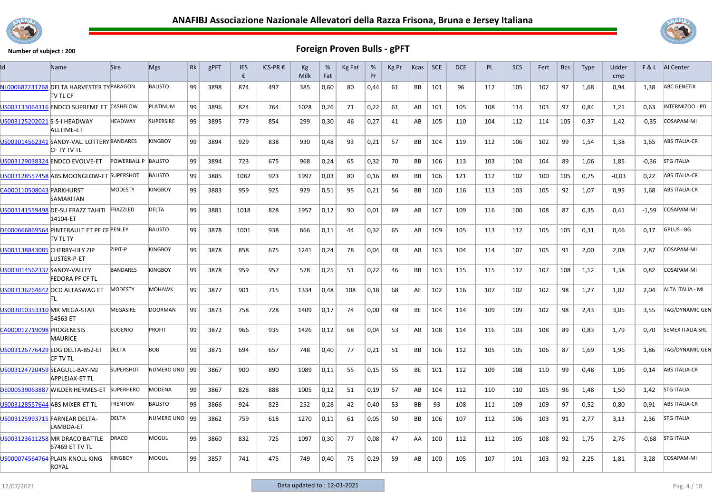



| Id                             | Name                                                       | <b>Sire</b>         | <b>Mgs</b>       | Rk | gPFT | <b>IES</b><br>€ | ICS-PR € | Kg<br>Milk | %<br>Fat | Kg Fat | %<br>Pr | Kg Pr | Kcas      | <b>SCE</b> | <b>DCE</b> | PL  | <b>SCS</b> | Fert | <b>Bcs</b> | <b>Type</b> | Udder<br>cmp |         | <b>F&amp;L</b> AI Center |
|--------------------------------|------------------------------------------------------------|---------------------|------------------|----|------|-----------------|----------|------------|----------|--------|---------|-------|-----------|------------|------------|-----|------------|------|------------|-------------|--------------|---------|--------------------------|
|                                | NL000687231768 DELTA HARVESTER TYPARAGON<br>TV TL CF       |                     | <b>BALISTO</b>   | 99 | 3898 | 874             | 497      | 385        | 0,60     | 80     | 0,44    | 61    | BB        | 101        | 96         | 112 | 105        | 102  | 97         | 1,68        | 0,94         | 1,38    | <b>ABC GENETIX</b>       |
|                                | US003133064316 ENDCO SUPREME ET CASHFLOW                   |                     | PLATINUM         | 99 | 3896 | 824             | 764      | 1028       | 0,26     | 71     | 0,22    | 61    | AB        | 101        | 105        | 108 | 114        | 103  | 97         | 0,84        | 1,21         | 0.63    | INTERMIZOO - PD          |
| US003125202021 S-S-I HEADWAY   | ALLTIME-ET                                                 | <b>HEADWAY</b>      | <b>SUPERSIRE</b> | 99 | 3895 | 779             | 854      | 299        | 0,30     | 46     | 0,27    | 41    | AB        | 105        | 110        | 104 | 112        | 114  | 105        | 0,37        | 1,42         | $-0,35$ | COSAPAM-MI               |
|                                | US003014562341 SANDY-VAL. LOTTERY BANDARES<br>ICF TY TV TL |                     | <b>KINGBOY</b>   | 99 | 3894 | 929             | 838      | 930        | 0,48     | 93     | 0,21    | 57    | BB        | 104        | 119        | 112 | 106        | 102  | 99         | 1,54        | 1,38         | 1,65    | <b>ABS ITALIA-CR</b>     |
|                                | US003129038324 ENDCO EVOLVE-ET                             | POWERBALL P BALISTO |                  | 99 | 3894 | 723             | 675      | 968        | 0,24     | 65     | 0,32    | 70    | <b>BB</b> | 106        | 113        | 103 | 104        | 104  | 89         | 1,06        | 1.85         | $-0.36$ | <b>STG ITALIA</b>        |
|                                | US003128557458 ABS MOONGLOW-ET SUPERSHOT                   |                     | <b>BALISTO</b>   | 99 | 3885 | 1082            | 923      | 1997       | 0,03     | 80     | 0,16    | 89    | BB        | 106        | 121        | 112 | 102        | 100  | 105        | 0,75        | $-0.03$      | 0,22    | <b>ABS ITALIA-CR</b>     |
| CA000110508043 PARKHURST       | SAMARITAN                                                  | <b>MODESTY</b>      | KINGBOY          | 99 | 3883 | 959             | 925      | 929        | 0,51     | 95     | 0,21    | 56    | <b>BB</b> | 100        | 116        | 113 | 103        | 105  | 92         | 1,07        | 0,95         | 1,68    | <b>ABS ITALIA-CR</b>     |
|                                | US003141559498 DE-SU FRAZZ TAHITI FRAZZLED<br>14104-ET     |                     | <b>DELTA</b>     | 99 | 3881 | 1018            | 828      | 1957       | 0,12     | 90     | 0.01    | 69    | AB        | 107        | 109        | 116 | 100        | 108  | 87         | 0,35        | 0,41         | $-1,59$ | COSAPAM-MI               |
|                                | DE000666869564 PINTERAULT ET PF CF PENLEY<br>itv tl ty     |                     | <b>BALISTO</b>   | 99 | 3878 | 1001            | 938      | 866        | 0,11     | 44     | 0,32    | 65    | AB        | 109        | 105        | 113 | 112        | 105  | 105        | 0,31        | 0,46         | 0,17    | GPLUS - BG               |
| US003138843085 CHERRY-LILY ZIP | LUSTER-P-ET                                                | ZIPIT-P             | <b>KINGBOY</b>   | 99 | 3878 | 858             | 675      | 1241       | 0,24     | 78     | 0.04    | 48    | AB        | 103        | 104        | 114 | 107        | 105  | 91         | 2,00        | 2,08         | 2,87    | COSAPAM-MI               |
| US003014562337 SANDY-VALLEY    | FEDORA PF CF TL                                            | <b>BANDARES</b>     | <b>KINGBOY</b>   | 99 | 3878 | 959             | 957      | 578        | 0,25     | 51     | 0,22    | 46    | <b>BB</b> | 103        | 115        | 115 | 112        | 107  | 108        | 1,12        | 1,38         | 0,82    | COSAPAM-MI               |
|                                | US003136264642 OCD ALTASWAG ET<br>IΤI.                     | <b>MODESTY</b>      | <b>MOHAWK</b>    | 99 | 3877 | 901             | 715      | 1334       | 0,48     | 108    | 0,18    | 68    | AE        | 102        | 116        | 107 | 102        | 102  | 98         | 1,27        | 1,02         | 2,04    | ALTA ITALIA - MI         |
| US003010353310 MR MEGA-STAR    | 54563 ET                                                   | MEGASIRE            | <b>DOORMAN</b>   | 99 | 3873 | 758             | 728      | 1409       | 0,17     | 74     | 0,00    | 48    | BE        | 104        | 114        | 109 | 109        | 102  | 98         | 2,43        | 3,05         | 3,55    | TAG/DYNAMIC GEN          |
| CA000012719098 PROGENESIS      | <b>MAURICE</b>                                             | <b>EUGENIO</b>      | <b>PROFIT</b>    | 99 | 3872 | 966             | 935      | 1426       | 0,12     | 68     | 0,04    | 53    | AB        | 108        | 114        | 116 | 103        | 108  | 89         | 0,83        | 1,79         | 0,70    | <b>SEMEX ITALIA SRL</b>  |
|                                | US003126776429 EDG DELTA-B52-ET<br>icf tv tl               | <b>DELTA</b>        | BOB              | 99 | 3871 | 694             | 657      | 748        | 0,40     | 77     | 0,21    | 51    | BB        | 106        | 112        | 105 | 105        | 106  | 87         | 1,69        | 1,96         | 1,86    | TAG/DYNAMIC GEN          |
|                                | US003124720459 SEAGULL-BAY-MJ<br>APPLEJAX-ET TL            | <b>SUPERSHOT</b>    | NUMERO UNO   99  |    | 3867 | 900             | 890      | 1089       | 0,11     | 55     | 0,15    | 55    | BE        | 101        | 112        | 109 | 108        | 110  | 99         | 0,48        | 1,06         | 0,14    | <b>ABS ITALIA-CR</b>     |
|                                | DE000539063887 WILDER HERMES-ET                            | <b>SUPERHERO</b>    | <b>MODENA</b>    | 99 | 3867 | 828             | 888      | 1005       | 0,12     | 51     | 0,19    | 57    | AB        | 104        | 112        | 110 | 110        | 105  | 96         | 1.48        | 1.50         | 1.42    | <b>STG ITALIA</b>        |
| US003128557644 ABS MIXER-ET TL |                                                            | <b>TRENTON</b>      | <b>BALISTO</b>   | 99 | 3866 | 924             | 823      | 252        | 0,28     | 42     | 0,40    | 53    | BB        | 93         | 108        | 111 | 109        | 109  | 97         | 0,52        | 0,80         | 0.91    | <b>ABS ITALIA-CR</b>     |
| US003125993715 FARNEAR DELTA-  | LAMBDA-ET                                                  | <b>DELTA</b>        | NUMERO UNO   99  |    | 3862 | 759             | 618      | 1270       | 0,11     | 61     | 0,05    | 50    | <b>BB</b> | 106        | 107        | 112 | 106        | 103  | 91         | 2,77        | 3,13         | 2,36    | <b>STG ITALIA</b>        |
|                                | US003123611258 MR DRACO BATTLE<br>67469 ET TV TL           | DRACO               | MOGUL            | 99 | 3860 | 832             | 725      | 1097       | 0,30     | 77     | 0,08    | 47    | AA        | 100        | 112        | 112 | 105        | 108  | 92         | 1,75        | 2,76         | $-0,68$ | <b>STG ITALIA</b>        |
|                                | US000074564764 PLAIN-KNOLL KING<br><b>ROYAL</b>            | <b>KINGBOY</b>      | MOGUL            | 99 | 3857 | 741             | 475      | 749        | 0,40     | 75     | 0.29    | 59    | AB        | 100        | 105        | 107 | 101        | 103  | 92         | 2,25        | 1,81         | 3.28    | <b>COSAPAM-MI</b>        |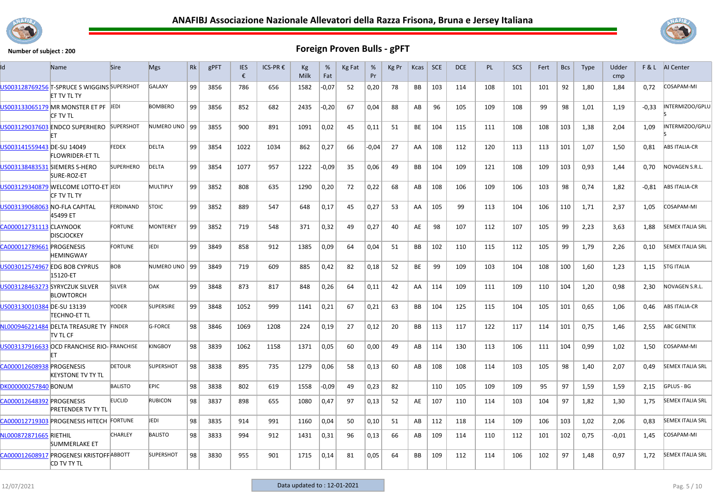



| ld                            | Name                                                              | <b>Sire</b>      | <b>Mgs</b>       | Rk | gPFT | <b>IES</b><br>€ | ICS-PR € | Kg<br>Milk | %<br>Fat | Kg Fat | %<br>Pr | Kg Pr | Kcas      | <b>SCE</b> | <b>DCE</b> | <b>PL</b> | <b>SCS</b> | Fert | <b>Bcs</b> | <b>Type</b> | Udder<br>cmp |         | <b>F&amp;L</b> AI Center |
|-------------------------------|-------------------------------------------------------------------|------------------|------------------|----|------|-----------------|----------|------------|----------|--------|---------|-------|-----------|------------|------------|-----------|------------|------|------------|-------------|--------------|---------|--------------------------|
|                               | US003128769256 T-SPRUCE S WIGGINS SUPERSHOT<br><b>ET TV TL TY</b> |                  | <b>GALAXY</b>    | 99 | 3856 | 786             | 656      | 1582       | $-0,07$  | 52     | 0,20    | 78    | <b>BB</b> | 103        | 114        | 108       | 101        | 101  | 92         | 1,80        | 1,84         | 0,72    | COSAPAM-MI               |
|                               | US003133065179 MR MONSTER ET PF JEDI<br>CF TV TL                  |                  | <b>BOMBERO</b>   | 99 | 3856 | 852             | 682      | 2435       | $-0,20$  | 67     | 0,04    | 88    | AB        | 96         | 105        | 109       | 108        | 99   | 98         | 1,01        | 1,19         | $-0,33$ | INTERMIZOO/GPLU          |
|                               | US003129037603 ENDCO SUPERHERO SUPERSHOT<br>FТ                    |                  | NUMERO UNO 99    |    | 3855 | 900             | 891      | 1091       | 0,02     | 45     | 0,11    | 51    | <b>BE</b> | 104        | 115        | 111       | 108        | 108  | 103        | 1,38        | 2,04         | 1,09    | INTERMIZOO/GPLU          |
| US003141559443 DE-SU 14049    | FLOWRIDER-ET TL                                                   | <b>FEDEX</b>     | DELTA            | 99 | 3854 | 1022            | 1034     | 862        | 0,27     | 66     | $-0,04$ | 27    | AA        | 108        | 112        | 120       | 113        | 113  | 101        | 1,07        | 1,50         | 0,81    | <b>ABS ITALIA-CR</b>     |
| US003138483531 SIEMERS S-HERO | SURE-ROZ-ET                                                       | <b>SUPERHERO</b> | <b>DELTA</b>     | 99 | 3854 | 1077            | 957      | 1222       | $-0,09$  | 35     | 0,06    | 49    | <b>BB</b> | 104        | 109        | 121       | 108        | 109  | 103        | 0,93        | 1,44         | 0,70    | NOVAGEN S.R.L.           |
|                               | US003129340879 WELCOME LOTTO-ET JEDI<br><b>CF TV TL TY</b>        |                  | MULTIPLY         | 99 | 3852 | 808             | 635      | 1290       | 0,20     | 72     | 0,22    | 68    | AB        | 108        | 106        | 109       | 106        | 103  | 98         | 0,74        | 1,82         | $-0.81$ | <b>ABS ITALIA-CR</b>     |
| US003139068063 NO-FLA CAPITAL | 45499 ET                                                          | FERDINAND        | <b>STOIC</b>     | 99 | 3852 | 889             | 547      | 648        | 0,17     | 45     | 0,27    | 53    | AA        | 105        | 99         | 113       | 104        | 106  | 110        | 1,71        | 2,37         | 1.05    | COSAPAM-MI               |
| CA000012731113 CLAYNOOK       | <b>DISCJOCKEY</b>                                                 | <b>FORTUNE</b>   | <b>MONTEREY</b>  | 99 | 3852 | 719             | 548      | 371        | 0,32     | 49     | 0,27    | 40    | AE        | 98         | 107        | 112       | 107        | 105  | 99         | 2,23        | 3,63         | 1,88    | <b>SEMEX ITALIA SRL</b>  |
| CA000012789661 PROGENESIS     | <b>HEMINGWAY</b>                                                  | <b>FORTUNE</b>   | <b>JEDI</b>      | 99 | 3849 | 858             | 912      | 1385       | 0,09     | 64     | 0,04    | 51    | <b>BB</b> | 102        | 110        | 115       | 112        | 105  | 99         | 1,79        | 2,26         | 0,10    | <b>SEMEX ITALIA SRL</b>  |
|                               | US003012574967 EDG BOB CYPRUS<br>15120-ET                         | <b>BOB</b>       | NUMERO UNO   99  |    | 3849 | 719             | 609      | 885        | 0,42     | 82     | 0,18    | 52    | BE        | 99         | 109        | 103       | 104        | 108  | 100        | 1,60        | 1,23         | 1,15    | <b>STG ITALIA</b>        |
|                               | US003128463273 SYRYCZUK SILVER<br><b>BLOWTORCH</b>                | <b>SILVER</b>    | OAK              | 99 | 3848 | 873             | 817      | 848        | 0,26     | 64     | 0,11    | 42    | AA        | 114        | 109        | 111       | 109        | 110  | 104        | 1,20        | 0,98         | 2,30    | NOVAGEN S.R.L.           |
| US003130010384 DE-SU 13139    | TECHNO-ET TL                                                      | YODER            | <b>SUPERSIRE</b> | 99 | 3848 | 1052            | 999      | 1141       | 0,21     | 67     | 0,21    | 63    | <b>BB</b> | 104        | 125        | 115       | 104        | 105  | 101        | 0,65        | 1,06         | 0,46    | <b>ABS ITALIA-CR</b>     |
|                               | NL000946221484 DELTA TREASURE TY FINDER<br>itv tl cf              |                  | <b>G-FORCE</b>   | 98 | 3846 | 1069            | 1208     | 224        | 0,19     | 27     | 0,12    | 20    | <b>BB</b> | 113        | 117        | 122       | 117        | 114  | 101        | 0,75        | 1,46         | 2,55    | <b>ABC GENETIX</b>       |
|                               | US003137916633 OCD FRANCHISE RIO-FRANCHISE<br>FT                  |                  | <b>KINGBOY</b>   | 98 | 3839 | 1062            | 1158     | 1371       | 0,05     | 60     | 0,00    | 49    | AB        | 114        | 130        | 113       | 106        | 111  | 104        | 0,99        | 1,02         | 1,50    | COSAPAM-MI               |
| CA000012608938 PROGENESIS     | <b>KEYSTONE TV TY TL</b>                                          | <b>DETOUR</b>    | <b>SUPERSHOT</b> | 98 | 3838 | 895             | 735      | 1279       | 0,06     | 58     | 0,13    | 60    | AB        | 108        | 108        | 114       | 103        | 105  | 98         | 1,40        | 2,07         | 0,49    | <b>SEMEX ITALIA SRL</b>  |
| DK000000257840 BONUM          |                                                                   | <b>BALISTO</b>   | EPIC.            | 98 | 3838 | 802             | 619      | 1558       | -0,09    | 49     | 0,23    | 82    |           | 110        | 105        | 109       | 109        | 95   | 97         | 1,59        | 1,59         | 2.15    | GPLUS - BG               |
| CA000012648392 PROGENESIS     | <b>PRETENDER TV TY TL</b>                                         | <b>EUCLID</b>    | <b>RUBICON</b>   | 98 | 3837 | 898             | 655      | 1080       | 0,47     | 97     | 0,13    | 52    | AE        | 107        | 110        | 114       | 103        | 104  | 97         | 1,82        | 1,30         | 1,75    | <b>SEMEX ITALIA SRL</b>  |
|                               | CA000012719303 PROGENESIS HITECH FORTUNE                          |                  | <b>EDI</b>       | 98 | 3835 | 914             | 991      | 1160       | 0,04     | 50     | 0,10    | 51    | AB        | 112        | 118        | 114       | 109        | 106  | 103        | 1,02        | 2,06         | 0.83    | <b>SEMEX ITALIA SRL</b>  |
| NL000872871665 RIETHIL        | <b>SUMMERLAKE ET</b>                                              | <b>CHARLEY</b>   | <b>BALISTO</b>   | 98 | 3833 | 994             | 912      | 1431       | 0,31     | 96     | 0,13    | 66    | AB        | 109        | 114        | 110       | 112        | 101  | 102        | 0,75        | $-0,01$      | 1,45    | COSAPAM-MI               |
|                               | CA000012608917 PROGENESI KRISTOFF ABBOTT<br>CD TV TY TL           |                  | SUPERSHOT        | 98 | 3830 | 955             | 901      | 1715       | 0,14     | 81     | 0,05    | 64    | BB        | 109        | 112        | 114       | 106        | 102  | 97         | 1,48        | 0,97         | 1,72    | <b>SEMEX ITALIA SRL</b>  |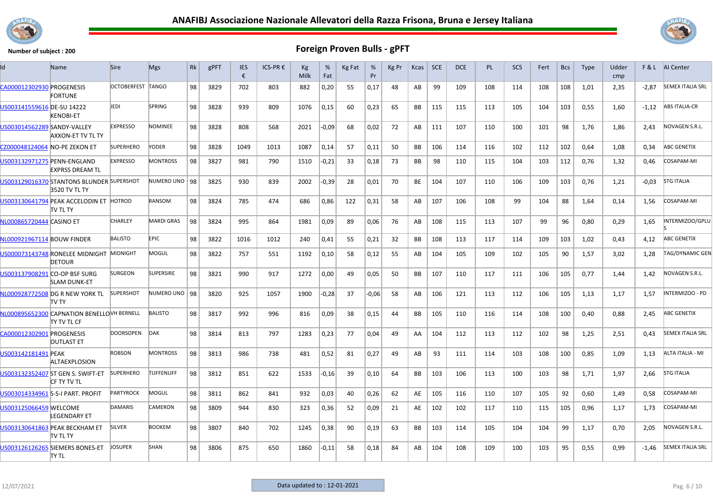



| Id                            | Name                                                       | <b>Sire</b>       | <b>Mgs</b>        | Rk | gPFT | <b>IES</b><br>€ | ICS-PR € | Kg<br>Milk | %<br>Fat | Kg Fat | %<br>Pr | Kg Pr | Kcas      | <b>SCE</b> | <b>DCE</b> | PL  | <b>SCS</b> | Fert | <b>Bcs</b> | <b>Type</b> | Udder<br>cmp |         | <b>F&amp;L</b> AI Center |
|-------------------------------|------------------------------------------------------------|-------------------|-------------------|----|------|-----------------|----------|------------|----------|--------|---------|-------|-----------|------------|------------|-----|------------|------|------------|-------------|--------------|---------|--------------------------|
| CA000012302930 PROGENESIS     | <b>FORTUNE</b>                                             | OCTOBERFEST TANGO |                   | 98 | 3829 | 702             | 803      | 882        | 0,20     | -55    | 0,17    | 48    | AB        | 99         | 109        | 108 | 114        | 108  | 108        | 1,01        | 2,35         | $-2,87$ | <b>SEMEX ITALIA SRL</b>  |
| US003141559616 DE-SU 14222    | <b>KENOBI-ET</b>                                           | JEDI              | <b>SPRING</b>     | 98 | 3828 | 939             | 809      | 1076       | 0,15     | 60     | 0,23    | 65    | <b>BB</b> | 115        | 115        | 113 | 105        | 104  | 103        | 0,55        | 1,60         | $-1,12$ | <b>ABS ITALIA-CR</b>     |
| US003014562289 SANDY-VALLEY   | AXXON-ET TV TL TY                                          | <b>EXPRESSO</b>   | <b>NOMINEE</b>    | 98 | 3828 | 808             | 568      | 2021       | $-0,09$  | 68     | 0,02    | 72    | AB        | 111        | 107        | 110 | 100        | 101  | 98         | 1,76        | 1,86         | 2,43    | NOVAGEN S.R.L.           |
| CZ000048124064 NO-PE ZEKON ET |                                                            | <b>SUPERHERO</b>  | YODER             | 98 | 3828 | 1049            | 1013     | 1087       | 0,14     | 57     | 0.11    | 50    | BB        | 106        | 114        | 116 | 102        | 112  | 102        | 0.64        | 1.08         | 0.34    | <b>ABC GENETIX</b>       |
| US003132971275 PENN-ENGLAND   | <b>EXPRSS DREAM TL</b>                                     | <b>EXPRESSO</b>   | <b>MONTROSS</b>   | 98 | 3827 | 981             | 790      | 1510       | -0,21    | -33    | 0,18    | 73    | BB        | 98         | 110        | 115 | 104        | 103  | 112        | 0,76        | 1,32         | 0.46    | COSAPAM-MI               |
|                               | US003129016370 STANTONS BLUNDER SUPERSHOT<br>3520 TV TL TY |                   | NUMERO UNO 98     |    | 3825 | 930             | 839      | 2002       | $-0,39$  | 28     | 0,01    | 70    | <b>BE</b> | 104        | 107        | 110 | 106        | 109  | 103        | 0,76        | 1,21         | $-0.03$ | <b>STG ITALIA</b>        |
|                               | US003130641794 PEAK ACCELODIN ET HOTROD<br>itv tl ty       |                   | <b>RANSOM</b>     | 98 | 3824 | 785             | 474      | 686        | 0,86     | 122    | 0,31    | 58    | AB        | 107        | 106        | 108 | 99         | 104  | 88         | 1,64        | 0,14         | 1,56    | COSAPAM-MI               |
| NL000865720444 CASINO ET      |                                                            | <b>CHARLEY</b>    | <b>MARDI GRAS</b> | 98 | 3824 | 995             | 864      | 1981       | 0,09     | 89     | 0,06    | 76    | AB        | 108        | 115        | 113 | 107        | 99   | 96         | 0,80        | 0,29         | 1,65    | INTERMIZOO/GPLU          |
| NL000921967114 BOUW FINDER    |                                                            | <b>BALISTO</b>    | <b>EPIC</b>       | 98 | 3822 | 1016            | 1012     | 240        | 0,41     | 55     | 0.21    | 32    | BB        | 108        | 113        | 117 | 114        | 109  | 103        | 1.02        | 0.43         | 4.12    | <b>ABC GENETIX</b>       |
|                               | US000073143748 RONELEE MIDNIGHT MIDNIGHT<br><b>DETOUR</b>  |                   | <b>MOGUL</b>      | 98 | 3822 | 757             | 551      | 1192       | 0,10     | 58     | 0,12    | 55    | AB        | 104        | 105        | 109 | 102        | 105  | 90         | 1,57        | 3,02         | 1,28    | <b>TAG/DYNAMIC GEN</b>   |
| US003137908291 CO-OP BSF SURG | <b>SLAM DUNK-ET</b>                                        | <b>SURGEON</b>    | <b>SUPERSIRE</b>  | 98 | 3821 | 990             | 917      | 1272       | 0,00     | 49     | 0,05    | 50    | BB        | 107        | 110        | 117 | 111        | 106  | 105        | 0,77        | 1,44         | 1,42    | NOVAGEN S.R.L.           |
|                               | NL000928772508 DG R NEW YORK TL<br>itv ty                  | <b>SUPERSHOT</b>  | NUMERO UNO 98     |    | 3820 | 925             | 1057     | 1900       | $-0,28$  | 37     | $-0.06$ | 58    | AB        | 106        | 121        | 113 | 112        | 106  | 105        | 1,13        | 1,17         | 1,57    | INTERMIZOO - PD          |
|                               | NL000895652300 CAPNATION BENELLOVH BERNELL<br>ity tv tl cf |                   | <b>BALISTO</b>    | 98 | 3817 | 992             | 996      | 816        | 0,09     | 38     | 0.15    | 44    | BB        | 105        | 110        | 116 | 114        | 108  | 100        | 0.40        | 0.88         | 2.45    | <b>ABC GENETIX</b>       |
| CA000012302901 PROGENESIS     | <b>OUTLAST ET</b>                                          | <b>DOORSOPEN</b>  | <b>DAK</b>        | 98 | 3814 | 813             | 797      | 1283       | 0,23     | 77     | 0.04    | 49    | AA        | 104        | 112        | 113 | 112        | 102  | 98         | 1,25        | 2,51         | 0.43    | <b>SEMEX ITALIA SRL</b>  |
| US003142181491 PEAK           | <b>ALTAEXPLOSION</b>                                       | <b>ROBSON</b>     | <b>MONTROSS</b>   | 98 | 3813 | 986             | 738      | 481        | 0,52     | 81     | 0,27    | 49    | AB        | 93         | 111        | 114 | 103        | 108  | 100        | 0,85        | 1,09         | 1,13    | ALTA ITALIA - MI         |
|                               | US003132352407 ST GEN S. SWIFT-ET<br>CF TY TV TL           | <b>SUPERHERO</b>  | <b>TUFFENUFF</b>  | 98 | 3812 | 851             | 622      | 1533       | $-0,16$  | 39     | 0,10    | 64    | BB        | 103        | 106        | 113 | 100        | 103  | 98         | 1,71        | 1,97         | 2,66    | <b>STG ITALIA</b>        |
|                               | US003014334961 S-S-I PART. PROFIT                          | <b>PARTYROCK</b>  | MOGUL             | 98 | 3811 | 862             | 841      | 932        | 0,03     | 40     | 0.26    | 62    | AE        | 105        | 116        | 110 | 107        | 105  | 92         | 0.60        | 1.49         | 0.58    | COSAPAM-MI               |
| US003125066459 WELCOME        | <b>LEGENDARY ET</b>                                        | <b>DAMARIS</b>    | CAMERON           | 98 | 3809 | 944             | 830      | 323        | 0,36     | 52     | 0,09    | 21    | AE        | 102        | 102        | 117 | 110        | 115  | 105        | 0,96        | 1.17         | 1,73    | COSAPAM-MI               |
|                               | US003130641863 PEAK BECKHAM ET<br>TV TL TY                 | <b>SILVER</b>     | <b>BOOKEM</b>     | 98 | 3807 | 840             | 702      | 1245       | 0,38     | 90     | 0,19    | 63    | BB        | 103        | 114        | 105 | 104        | 104  | 99         | 1,17        | 0,70         | 2.05    | NOVAGEN S.R.L.           |
|                               | US003126126265 SIEMERS BONES-ET<br>ITY TL                  | <b>JOSUPER</b>    | SHAN              | 98 | 3806 | 875             | 650      | 1860       | $-0,11$  | 58     | 0,18    | 84    | AB        | 104        | 108        | 109 | 100        | 103  | 95         | 0,55        | 0,99         | $-1,46$ | <b>SEMEX ITALIA SRL</b>  |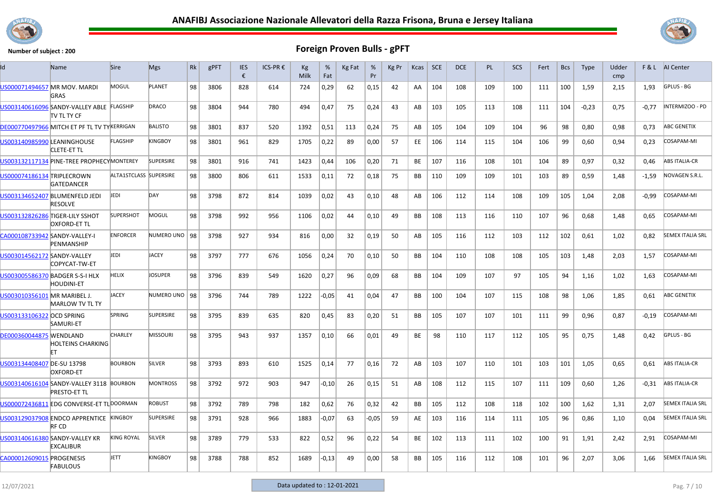



| ld                             | Name                                                            | <b>Sire</b>            | <b>Mgs</b>       | Rk | gPFT | <b>IES</b><br>€ | ICS-PR € | Kg<br>Milk | %<br>Fat | Kg Fat | %<br>Pr | Kg Pr | Kcas      | <b>SCE</b> | <b>DCE</b> | <b>PL</b> | <b>SCS</b> | Fert | <b>Bcs</b> | <b>Type</b> | Udder<br>cm <sub>D</sub> |         | <b>F&amp;L</b> AI Center |
|--------------------------------|-----------------------------------------------------------------|------------------------|------------------|----|------|-----------------|----------|------------|----------|--------|---------|-------|-----------|------------|------------|-----------|------------|------|------------|-------------|--------------------------|---------|--------------------------|
| US000071494657 MR MOV. MARDI   | <b>GRAS</b>                                                     | MOGUL                  | <b>PLANET</b>    | 98 | 3806 | 828             | 614      | 724        | 0,29     | 62     | 0,15    | 42    | AA        | 104        | 108        | 109       | 100        | 111  | 100        | 1,59        | 2,15                     | 1,93    | GPLUS - BG               |
|                                | US003140616096 SANDY-VALLEY ABLE FLAGSHIP<br>itv ti ty cf       |                        | DRACO            | 98 | 3804 | 944             | 780      | 494        | 0,47     | 75     | 0,24    | 43    | AB        | 103        | 105        | 113       | 108        | 111  | 104        | $-0,23$     | 0,75                     | $-0,77$ | INTERMIZOO - PD          |
|                                | DE000770497966 MITCH ET PF TL TV TYKERRIGAN                     |                        | <b>BALISTO</b>   | 98 | 3801 | 837             | 520      | 1392       | 0,51     | 113    | 0,24    | 75    | AB        | 105        | 104        | 109       | 104        | 96   | 98         | 0,80        | 0.98                     | 0.73    | <b>ABC GENETIX</b>       |
| US003140985990 LEANINGHOUSE    | <b>CLETE-ET TL</b>                                              | FLAGSHIP               | KINGBOY          | 98 | 3801 | 961             | 829      | 1705       | 0,22     | 89     | 0,00    | 57    | EE        | 106        | 114        | 115       | 104        | 106  | 99         | 0,60        | 0,94                     | 0,23    | COSAPAM-MI               |
|                                | US003132117134 PINE-TREE PROPHECYMONTEREY                       |                        | <b>SUPERSIRE</b> | 98 | 3801 | 916             | 741      | 1423       | 0,44     | 106    | 0,20    | 71    | BE        | 107        | 116        | 108       | 101        | 104  | 89         | 0,97        | 0,32                     | 0,46    | <b>ABS ITALIA-CR</b>     |
| US000074186134 TRIPLECROWN     | <b>GATEDANCER</b>                                               | ALTA1STCLASS SUPERSIRE |                  | 98 | 3800 | 806             | 611      | 1533       | 0,11     | 72     | 0,18    | 75    | BB        | 110        | 109        | 109       | 101        | 103  | 89         | 0,59        | 1,48                     | $-1,59$ | NOVAGEN S.R.L.           |
|                                | US003134652407 BLUMENFELD JEDI<br><b>RESOLVE</b>                | <b>JEDI</b>            | <b>DAY</b>       | 98 | 3798 | 872             | 814      | 1039       | 0,02     | 43     | 0,10    | 48    | AB        | 106        | 112        | 114       | 108        | 109  | 105        | 1,04        | 2,08                     | $-0.99$ | COSAPAM-MI               |
|                                | US003132826286 TIGER-LILY SSHOT<br><b>OXFORD-ET TL</b>          | <b>SUPERSHOT</b>       | <b>MOGUL</b>     | 98 | 3798 | 992             | 956      | 1106       | 0,02     | 44     | 0,10    | 49    | <b>BB</b> | 108        | 113        | 116       | 110        | 107  | 96         | 0,68        | 1,48                     | 0,65    | COSAPAM-MI               |
| CA000108733942 SANDY-VALLEY-I  | PENMANSHIP                                                      | <b>ENFORCER</b>        | NUMERO UNO 98    |    | 3798 | 927             | 934      | 816        | 0,00     | 32     | 0,19    | 50    | AB        | 105        | 116        | 112       | 103        | 112  | 102        | 0,61        | 1,02                     | 0,82    | <b>SEMEX ITALIA SRL</b>  |
| US003014562172 SANDY-VALLEY    | COPYCAT-TW-ET                                                   | JEDI                   | <b>JACEY</b>     | 98 | 3797 | 777             | 676      | 1056       | 0,24     | 70     | 0,10    | 50    | <b>BB</b> | 104        | 110        | 108       | 108        | 105  | 103        | 1,48        | 2,03                     | 1,57    | COSAPAM-MI               |
|                                | US003005586370 BADGER S-S-I HLX<br><b>HOUDINI-ET</b>            | HELIX                  | <b>JOSUPER</b>   | 98 | 3796 | 839             | 549      | 1620       | 0,27     | 96     | 0,09    | 68    | BB        | 104        | 109        | 107       | 97         | 105  | 94         | 1,16        | 1,02                     | 1,63    | COSAPAM-MI               |
| US003010356101 MR MARIBEL J.   | <b>MARLOW TV TL TY</b>                                          | <b>JACEY</b>           | NUMERO UNO   98  |    | 3796 | 744             | 789      | 1222       | -0,05    | 41     | 0,04    | 47    | BB        | 100        | 104        | 107       | 115        | 108  | 98         | 1,06        | 1,85                     | 0,61    | <b>ABC GENETIX</b>       |
| US003133106322 OCD SPRING      | <b>SAMURI-ET</b>                                                | <b>SPRING</b>          | <b>SUPERSIRE</b> | 98 | 3795 | 839             | 635      | 820        | 0,45     | 83     | 0,20    | 51    | <b>BB</b> | 105        | 107        | 107       | 101        | 111  | 99         | 0,96        | 0,87                     | $-0,19$ | COSAPAM-MI               |
| <b>DE000360044875 WENDLAND</b> | <b>HOLTEINS CHARKING</b><br>FT                                  | <b>CHARLEY</b>         | <b>MISSOURI</b>  | 98 | 3795 | 943             | 937      | 1357       | 0,10     | 66     | 0,01    | 49    | BE        | 98         | 110        | 117       | 112        | 105  | 95         | 0,75        | 1,48                     | 0,42    | GPLUS - BG               |
| US003134408407 DE-SU 13798     | <b>OXFORD-ET</b>                                                | <b>BOURBON</b>         | SILVER           | 98 | 3793 | 893             | 610      | 1525       | 0,14     | 77     | 0,16    | 72    | AB        | 103        | 107        | 110       | 101        | 103  | 101        | 1,05        | 0,65                     | 0,61    | <b>ABS ITALIA-CR</b>     |
|                                | US003140616104 SANDY-VALLEY 3118 BOURBON<br><b>PRESTO-ET TL</b> |                        | <b>MONTROSS</b>  | 98 | 3792 | 972             | 903      | 947        | -0,10    | 26     | 0,15    | 51    | AB        | 108        | 112        | 115       | 107        | 111  | 109        | 0,60        | 1,26                     | $-0,31$ | <b>ABS ITALIA-CR</b>     |
|                                | US000072436811 EDG CONVERSE-ET TLDOORMAN                        |                        | <b>ROBUST</b>    | 98 | 3792 | 789             | 798      | 182        | 0,62     | 76     | 0,32    | 42    | BB        | 105        | 112        | 108       | 118        | 102  | 100        | 1,62        | 1,31                     | 2,07    | <b>SEMEX ITALIA SRL</b>  |
|                                | US003129037908 ENDCO APPRENTICE KINGBOY<br>RF CD                |                        | <b>SUPERSIRE</b> | 98 | 3791 | 928             | 966      | 1883       | $-0,07$  | 63     | $-0,05$ | 59    | AE        | 103        | 116        | 114       | 111        | 105  | 96         | 0,86        | 1,10                     | 0,04    | <b>SEMEX ITALIA SRL</b>  |
|                                | US003140616380 SANDY-VALLEY KR<br><b>EXCALIBUR</b>              | KING ROYAL             | <b>SILVER</b>    | 98 | 3789 | 779             | 533      | 822        | 0,52     | 96     | 0,22    | 54    | ВE        | 102        | 113        | 111       | 102        | 100  | 91         | 1,91        | 2,42                     | 2,91    | COSAPAM-MI               |
| CA000012609015 PROGENESIS      | <b>FABULOUS</b>                                                 | <b>JETT</b>            | <b>KINGBOY</b>   | 98 | 3788 | 788             | 852      | 1689       | -0,13    | 49     | 0,00    | 58    | <b>BB</b> | 105        | 116        | 112       | 108        | 101  | 96         | 2,07        | 3,06                     | 1,66    | <b>SEMEX ITALIA SRL</b>  |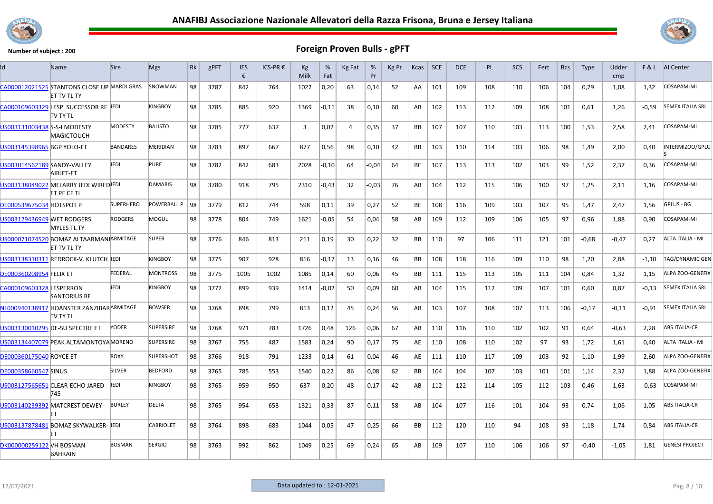



| ld                              | Name                                                              | <b>Sire</b>      | <b>Mgs</b>       | Rk | gPFT | <b>IES</b><br>€ | ICS-PR € | Kg<br>Milk | %<br>Fat | Kg Fat | %<br>Pr | Kg Pr | Kcas      | SCE | <b>DCE</b> | PL. | <b>SCS</b> | Fert | <b>Bcs</b> | <b>Type</b> | Udder<br>cmp |         | F & L AI Center         |
|---------------------------------|-------------------------------------------------------------------|------------------|------------------|----|------|-----------------|----------|------------|----------|--------|---------|-------|-----------|-----|------------|-----|------------|------|------------|-------------|--------------|---------|-------------------------|
|                                 | CA000012021525 STANTONS CLOSE UP MARDI GRAS<br><b>ET TV TL TY</b> |                  | SNOWMAN          | 98 | 3787 | 842             | 764      | 1027       | 0,20     | 63     | 0,14    | 52    | AA        | 101 | 109        | 108 | 110        | 106  | 104        | 0,79        | 1,08         | 1,32    | COSAPAM-MI              |
|                                 | CA000109603329 LESP. SUCCESSOR RF JEDI<br>itv ty tl               |                  | <b>KINGBOY</b>   | 98 | 3785 | 885             | 920      | 1369       | -0,11    | 38     | 0,10    | 60    | AB        | 102 | 113        | 112 | 109        | 108  | 101        | 0,61        | 1,26         | $-0,59$ | <b>SEMEX ITALIA SRL</b> |
| US003131003438 S-S-I MODESTY    | <b>MAGICTOUCH</b>                                                 | <b>MODESTY</b>   | <b>BALISTO</b>   | 98 | 3785 | 777             | 637      | 3          | 0,02     | 4      | 0,35    | 37    | BB        | 107 | 107        | 110 | 103        | 113  | 100        | 1,53        | 2,58         | 2,41    | COSAPAM-MI              |
| US003145398965 BGP YOLO-ET      |                                                                   | <b>BANDARES</b>  | <b>MERIDIAN</b>  | 98 | 3783 | 897             | 667      | 877        | 0,56     | 98     | 0,10    | 42    | BB        | 103 | 110        | 114 | 103        | 106  | 98         | 1,49        | 2,00         | 0,40    | INTERMIZOO/GPLU         |
| US003014562189 SANDY-VALLEY     | AIRJET-ET                                                         | JEDI             | <b>PURE</b>      | 98 | 3782 | 842             | 683      | 2028       | -0,10    | 64     | $-0.04$ | 64    | BE        | 107 | 113        | 113 | 102        | 103  | 99         | 1,52        | 2,37         | 0,36    | COSAPAM-MI              |
|                                 | US003138049022 MELARRY JEDI WIREDJEDI<br>ET PF CF TL              |                  | <b>DAMARIS</b>   | 98 | 3780 | 918             | 795      | 2310       | $-0,43$  | 32     | $-0,03$ | 76    | AB        | 104 | 112        | 115 | 106        | 100  | 97         | 1,25        | 2,11         | 1,16    | COSAPAM-MI              |
| <b>DE000539675034 HOTSPOT P</b> |                                                                   | <b>SUPERHERO</b> | POWERBALL P      | 98 | 3779 | 812             | 744      | 598        | 0,11     | 39     | 0,27    | 52    | BE        | 108 | 116        | 109 | 103        | 107  | 95         | 1,47        | 2,47         | 1,56    | GPLUS - BG              |
| US003129436949 WET RODGERS      | <b>MYLES TL TY</b>                                                | <b>RODGERS</b>   | MOGUL            | 98 | 3778 | 804             | 749      | 1621       | $-0,05$  | 54     | 0,04    | 58    | AB        | 109 | 112        | 109 | 106        | 105  | 97         | 0,96        | 1,88         | 0,90    | COSAPAM-MI              |
|                                 | US000071074520 BOMAZ ALTAARMANIARMITAGE<br><b>ET TV TL TY</b>     |                  | <b>SUPER</b>     | 98 | 3776 | 846             | 813      | 211        | 0,19     | 30     | 0,22    | 32    | <b>BB</b> | 110 | 97         | 106 | 111        | 121  | 101        | $-0.68$     | $-0.47$      | 0,27    | ALTA ITALIA - MI        |
|                                 | US003138310311 REDROCK-V. KLUTCH IEDI                             |                  | KINGBOY          | 98 | 3775 | 907             | 928      | 816        | $-0,17$  | 13     | 0,16    | 46    | BB        | 108 | 118        | 116 | 109        | 110  | 98         | 1,20        | 2,88         | -1,10   | TAG/DYNAMIC GEN         |
| <b>DE000360208954 FELIX ET</b>  |                                                                   | FEDERAL          | <b>MONTROSS</b>  | 98 | 3775 | 1005            | 1002     | 1085       | 0,14     | 60     | 0,06    | 45    | BB        | 111 | 115        | 113 | 105        | 111  | 104        | 0,84        | 1,32         | 1,15    | ALPA ZOO-GENEFIX        |
| CA000109603328 LESPERRON        | <b>SANTORIUS RF</b>                                               | Jedi             | <b>KINGBOY</b>   | 98 | 3772 | 899             | 939      | 1414       | $-0,02$  | 50     | 0,09    | 60    | AB        | 104 | 115        | 112 | 109        | 107  | 101        | 0,60        | 0,87         | $-0,13$ | <b>SEMEX ITALIA SRL</b> |
|                                 | NL000940138917 HOANSTER ZANZIBARARMITAGE<br>itv ty tl             |                  | <b>BOWSER</b>    | 98 | 3768 | 898             | 799      | 813        | 0,12     | 45     | 0,24    | 56    | AB        | 103 | 107        | 108 | 107        | 113  | 106        | $-0.17$     | $-0,11$      | $-0.91$ | <b>SEMEX ITALIA SRL</b> |
|                                 | US003130010295 DE-SU SPECTRE ET                                   | <b>YODER</b>     | <b>SUPERSIRE</b> | 98 | 3768 | 971             | 783      | 1726       | 0,48     | 126    | 0,06    | 67    | AB        | 110 | 116        | 110 | 102        | 102  | 91         | 0,64        | $-0,63$      | 2,28    | <b>ABS ITALIA-CR</b>    |
|                                 | US003134407079 PEAK ALTAMONTOYA MORENO                            |                  | SUPERSIRE        | 98 | 3767 | 755             | 487      | 1583       | 0,24     | 90     | 0,17    | 75    | AE        | 110 | 108        | 110 | 102        | 97   | 93         | 1,72        | 1,61         | 0,40    | ALTA ITALIA - MI        |
| DE000360175040 ROYCE ET         |                                                                   | <b>ROXY</b>      | <b>SUPERSHOT</b> | 98 | 3766 | 918             | 791      | 1233       | 0,14     | 61     | 0,04    | 46    | AE        | 111 | 110        | 117 | 109        | 103  | 92         | 1.10        | 1.99         | 2.60    | ALPA ZOO-GENEFIX        |
| <b>DE000358660547 SINUS</b>     |                                                                   | <b>SILVER</b>    | <b>BEDFORD</b>   | 98 | 3765 | 785             | 553      | 1540       | 0,22     | 86     | 0.08    | 62    | BB        | 104 | 104        | 107 | 103        | 101  | 101        | 1.14        | 2,32         | 1,88    | ALPA ZOO-GENEFIX        |
|                                 | US003127565651 CLEAR-ECHO JARED<br>745                            | JEDI             | <b>KINGBOY</b>   | 98 | 3765 | 959             | 950      | 637        | 0,20     | 48     | 0,17    | 42    | AB        | 112 | 122        | 114 | 105        | 112  | 103        | 0,46        | 1,63         | $-0,63$ | COSAPAM-MI              |
|                                 | US003140239392 MATCREST DEWEY-<br>FT                              | <b>BURLEY</b>    | <b>DELTA</b>     | 98 | 3765 | 954             | 653      | 1321       | 0,33     | 87     | 0,11    | 58    | AB        | 104 | 107        | 116 | 101        | 104  | 93         | 0.74        | 1,06         | 1,05    | <b>ABS ITALIA-CR</b>    |
|                                 | US003137878481 BOMAZ SKYWALKER- JEDI<br>FT                        |                  | <b>CABRIOLET</b> | 98 | 3764 | 898             | 683      | 1044       | 0,05     | 47     | 0,25    | 66    | BB        | 112 | 120        | 110 | 94         | 108  | 93         | 1,18        | 1,74         | 0,84    | <b>ABS ITALIA-CR</b>    |
| DK000000259122 VH BOSMAN        | <b>BAHRAIN</b>                                                    | <b>BOSMAN</b>    | <b>SERGIO</b>    | 98 | 3763 | 992             | 862      | 1049       | 0,25     | 69     | 0,24    | 65    | AB        | 109 | 107        | 110 | 106        | 106  | 97         | $-0,40$     | $-1,05$      | 1,81    | <b>GENESI PROJECT</b>   |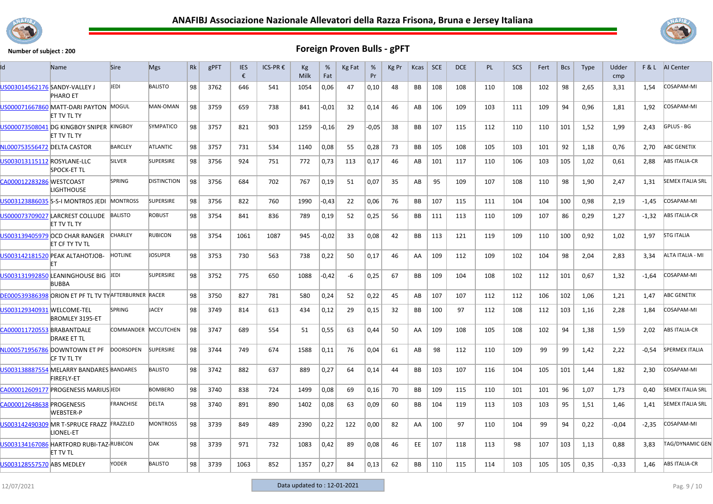



| ld                            | Name                                                          | <b>Sire</b>         | <b>Mgs</b>         | Rk | gPFT | <b>IES</b><br>€ | ICS-PR € | Kg<br>Milk | %<br>Fat | Kg Fat | %<br>Pr | Kg Pr | Kcas      | SCE | <b>DCE</b> | <b>PL</b> | <b>SCS</b> | Fert | <b>Bcs</b> | <b>Type</b> | Udder<br>cmp | F&L     | AI Center               |
|-------------------------------|---------------------------------------------------------------|---------------------|--------------------|----|------|-----------------|----------|------------|----------|--------|---------|-------|-----------|-----|------------|-----------|------------|------|------------|-------------|--------------|---------|-------------------------|
| US003014562176 SANDY-VALLEY J | <b>PHARO ET</b>                                               | JEDI                | <b>BALISTO</b>     | 98 | 3762 | 646             | 541      | 1054       | 0,06     | 47     | 0,10    | 48    | BB        | 108 | 108        | 110       | 108        | 102  | 98         | 2,65        | 3,31         | 1,54    | COSAPAM-MI              |
|                               | US000071667860 MATT-DARI PAYTON MOGUL<br><b>ET TV TL TY</b>   |                     | MAN-OMAN           | 98 | 3759 | 659             | 738      | 841        | -0,01    | 32     | 0,14    | 46    | AB        | 106 | 109        | 103       | 111        | 109  | 94         | 0,96        | 1,81         | 1,92    | COSAPAM-MI              |
|                               | US000073508041 DG KINGBOY SNIPER KINGBOY<br>ET TV TL TY       |                     | SYMPATICO          | 98 | 3757 | 821             | 903      | 1259       | -0,16    | 29     | -0,05   | 38    | BB        | 107 | 115        | 112       | 110        | 110  | 101        | 1,52        | 1,99         | 2,43    | GPLUS - BG              |
| NL000753556472 DELTA CASTOR   |                                                               | <b>BARCLEY</b>      | ATLANTIC           | 98 | 3757 | 731             | 534      | 1140       | 0,08     | 55     | 0,28    | 73    | BB        | 105 | 108        | 105       | 103        | 101  | 92         | 1,18        | 0,76         | 2,70    | <b>ABC GENETIX</b>      |
| US003013115112 ROSYLANE-LLC   | <b>SPOCK-ET TL</b>                                            | <b>SILVER</b>       | SUPERSIRE          | 98 | 3756 | 924             | 751      | 772        | 0,73     | 113    | 0,17    | 46    | AB        | 101 | 117        | 110       | 106        | 103  | 105        | 1,02        | 0,61         | 2,88    | <b>ABS ITALIA-CR</b>    |
| CA000012283286 WESTCOAST      | .IGHTHOUSE                                                    | <b>SPRING</b>       | <b>DISTINCTION</b> | 98 | 3756 | 684             | 702      | 767        | 0,19     | 51     | 0,07    | 35    | AB        | 95  | 109        | 107       | 108        | 110  | 98         | 1,90        | 2,47         | 1,31    | <b>SEMEX ITALIA SRL</b> |
|                               | US003123886035 S-S-I MONTROS JEDI                             | <b>MONTROSS</b>     | <b>SUPERSIRE</b>   | 98 | 3756 | 822             | 760      | 1990       | -0,43    | 22     | 0,06    | 76    | BB        | 107 | 115        | 111       | 104        | 104  | 100        | 0,98        | 2,19         | $-1,45$ | COSAPAM-MI              |
|                               | US000073709027 LARCREST COLLUDE<br><b>ET TV TL TY</b>         | <b>BALISTO</b>      | <b>ROBUST</b>      | 98 | 3754 | 841             | 836      | 789        | 0,19     | 52     | 0,25    | 56    | BB        | 111 | 113        | 110       | 109        | 107  | 86         | 0,29        | 1,27         | $-1,32$ | <b>ABS ITALIA-CR</b>    |
|                               | US003139405979 OCD CHAR RANGER<br>ET CF TY TV TL              | <b>CHARLEY</b>      | <b>RUBICON</b>     | 98 | 3754 | 1061            | 1087     | 945        | -0,02    | 33     | 0,08    | 42    | BB        | 113 | 121        | 119       | 109        | 110  | 100        | 0,92        | 1,02         | 1,97    | <b>STG ITALIA</b>       |
|                               | US003142181520 PEAK ALTAHOTJOB-                               | HOTLINE             | JOSUPER            | 98 | 3753 | 730             | 563      | 738        | 0,22     | 50     | 0,17    | 46    | AA        | 109 | 112        | 109       | 102        | 104  | 98         | 2,04        | 2,83         | 3,34    | ALTA ITALIA - MI        |
|                               | US003131992850 LEANINGHOUSE BIG<br><b>BUBBA</b>               | JEDI                | <b>SUPERSIRE</b>   | 98 | 3752 | 775             | 650      | 1088       | $-0,42$  | -6     | 0,25    | 67    | BB        | 109 | 104        | 108       | 102        | 112  | 101        | 0,67        | 1,32         | $-1,64$ | COSAPAM-MI              |
|                               | DE000539386398 ORION ET PF TL TV TY AFTERBURNER RACER         |                     |                    | 98 | 3750 | 827             | 781      | 580        | 0,24     | 52     | 0,22    | 45    | AB        | 107 | 107        | 112       | 112        | 106  | 102        | 1,06        | 1,21         | 1,47    | <b>ABC GENETIX</b>      |
| US003129340931 WELCOME-TEL    | <b>BROMLEY 3195-ET</b>                                        | <b>SPRING</b>       | JACEY              | 98 | 3749 | 814             | 613      | 434        | 0,12     | 29     | 0,15    | 32    | BB        | 100 | 97         | 112       | 108        | 112  | 103        | 1,16        | 2,28         | 1,84    | COSAPAM-MI              |
| CA000011720553 BRABANTDALE    | <b>DRAKE ET TL</b>                                            | COMMANDER MCCUTCHEN |                    | 98 | 3747 | 689             | 554      | 51         | 0,55     | 63     | 0,44    | 50    | AA        | 109 | 108        | 105       | 108        | 102  | 94         | 1,38        | 1,59         | 2,02    | <b>ABS ITALIA-CR</b>    |
|                               | NL000571956786 DOWNTOWN ET PF<br>ICF TV TL TY                 | <b>DOORSOPEN</b>    | <b>SUPERSIRE</b>   | 98 | 3744 | 749             | 674      | 1588       | 0,11     | 76     | 0,04    | 61    | AB        | 98  | 112        | 110       | 109        | 99   | 99         | 1,42        | 2,22         | $-0.54$ | <b>SPERMEX ITALIA</b>   |
|                               | US003138887554 MELARRY BANDARES BANDARES<br><b>FIREFLY-ET</b> |                     | <b>BALISTO</b>     | 98 | 3742 | 882             | 637      | 889        | 0,27     | 64     | 0,14    | 44    | <b>BB</b> | 103 | 107        | 116       | 104        | 105  | 101        | 1,44        | 1,82         | 2,30    | COSAPAM-MI              |
|                               | CA000012609177 PROGENESIS MARIUS EDI                          |                     | <b>BOMBERO</b>     | 98 | 3740 | 838             | 724      | 1499       | 0,08     | 69     | 0,16    | 70    | BB        | 109 | 115        | 110       | 101        | 101  | 96         | 1,07        | 1,73         | 0,40    | <b>SEMEX ITALIA SRL</b> |
| CA000012648638 PROGENESIS     | <b>WEBSTER-P</b>                                              | <b>FRANCHISE</b>    | <b>DELTA</b>       | 98 | 3740 | 891             | 890      | 1402       | 0,08     | 63     | 0,09    | 60    | BB        | 104 | 119        | 113       | 103        | 103  | 95         | 1,51        | 1,46         | 1,41    | <b>SEMEX ITALIA SRL</b> |
|                               | US003142490309 MR T-SPRUCE FRAZZ FRAZZLED<br>LIONEL-ET        |                     | <b>MONTROSS</b>    | 98 | 3739 | 849             | 489      | 2390       | 0,22     | 122    | 0,00    | 82    | AA        | 100 | 97         | 110       | 104        | 99   | 94         | 0,22        | $-0,04$      | $-2,35$ | COSAPAM-MI              |
|                               | US003134167086 HARTFORD RUBI-TAZ-RUBICON<br>ET TV TL          |                     | <b>DAK</b>         | 98 | 3739 | 971             | 732      | 1083       | 0,42     | 89     | 0,08    | 46    | EE        | 107 | 118        | 113       | 98         | 107  | 103        | 1,13        | 0,88         | 3,83    | TAG/DYNAMIC GEN         |
| US003128557570 ABS MEDLEY     |                                                               | YODER               | <b>BALISTO</b>     | 98 | 3739 | 1063            | 852      | 1357       | 0,27     | 84     | 0,13    | 62    | <b>BB</b> | 110 | 115        | 114       | 103        | 105  | 105        | 0,35        | $-0.33$      | 1.46    | <b>ABS ITALIA-CR</b>    |